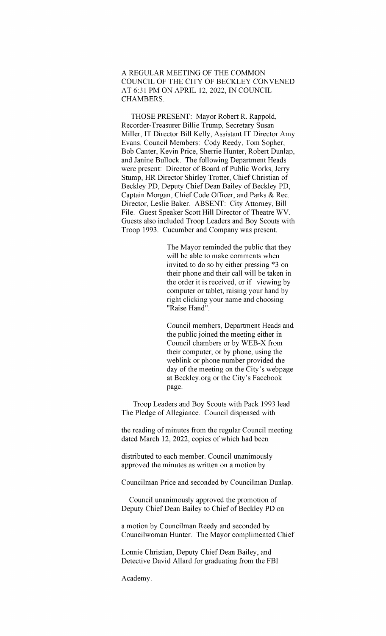A REGULAR MEETING OF THE COMMON COUNCIL OF THE CITY OF BECKLEY CONVENED AT6:31PMONAPRIL 12, 2022, INCOUNCIL CHAMBERS.

THOSE PRESENT: Mayor Robert R. Rappold, Recorder-Treasurer Billie Trump, Secretary Susan Miller, IT Director Bill Kelly, Assistant IT Director Amy Evans. Council Members: Cody Reedy, Tom Sopher, Bob Canter, Kevin Price, Sherrie Hunter, Robert Dunlap, and Janine Bullock. The following Department Heads were present: Director of Board of Public Works, Jerry Stump, HR Director Shirley Trotter, Chief Christian of Beckley PD, Deputy Chief Dean Bailey of Beckley PD, Captain Morgan, Chief Code Officer, and Parks & Rec. Director, Leslie Baker. ABSENT: City Attorney, Bill File. Guest Speaker Scott Hill Director of Theatre WV. Guests also included Troop Leaders and Boy Scouts with Troop 1993. Cucumber and Company was present.

> The Mayor reminded the public that they will be able to make comments when invited to do so by either pressing \*3 on their phone and their call will be taken in the order it is received, or if viewing by computer or tablet, raising your hand by right clicking your name and choosing "Raise Hand".

Council members, Department Heads and the public joined the meeting either in Council chambers or by WEB-X from their computer, or by phone, using the weblink or phone number provided the day of the meeting on the City's webpage at Beckley.org or the City's Facebook page.

Troop Leaders and Boy Scouts with Pack 1993 lead The Pledge of Allegiance. Council dispensed with

the reading of minutes from the regular Council meeting dated March 12, 2022, copies of which had been

distributed to each member. Council unanimously approved the minutes as written on a motion by

Councilman Price and seconded by Councilman Dunlap.

Council unanimously approved the promotion of Deputy Chief Dean Bailey to Chief of Beckley PD on

a motion by Councilman Reedy and seconded by Councilwoman Hunter. The Mayor complimented Chief

Lonnie Christian, Deputy Chief Dean Bailey, and Detective David Allard for graduating from the FBI

Academy.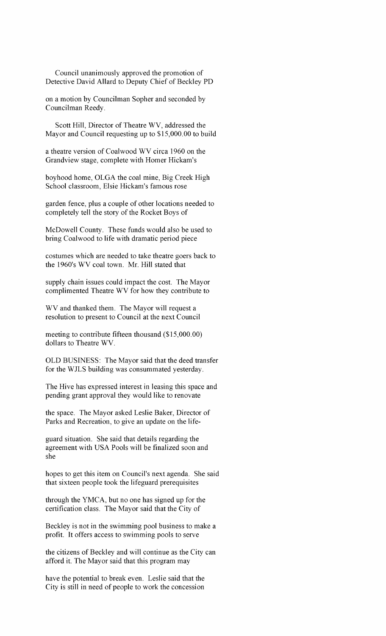Council unanimously approved the promotion of Detective David Allard to Deputy Chief of Beckley PD

on a motion by Councilman Sopher and seconded by Councilman Reedy.

Scott Hill, Director of Theatre WV, addressed the Mayor and Council requesting up to \$15,000.00 to build

a theatre version of Coalwood WV circa 1960 on the Grandview stage, complete with Homer Hickam's

boyhood home, OLGA the coal mine, Big Creek High School classroom, Elsie Hickam's famous rose

garden fence, plus a couple of other locations needed to completely tell the story of the Rocket Boys of

McDowell County. These funds would also be used to bring Coalwood to life with dramatic period piece

costumes which are needed to take theatre goers back to the 1960's WV coal town. Mr. Hill stated that

supply chain issues could impact the cost. The Mayor complimented Theatre WV for how they contribute to

WV and thanked them. The Mayor will request a resolution to present to Council at the next Council

meeting to contribute fifteen thousand (\$15,000.00) dollars to Theatre WV.

OLD BUSINESS: The Mayor said that the deed transfer for the WJLS building was consummated yesterday.

The Hive has expressed interest in leasing this space and pending grant approval they would like to renovate

the space. The Mayor asked Leslie Baker, Director of Parks and Recreation, to give an update on the life-

guard situation. She said that details regarding the agreement with USA Pools will be finalized soon and she

hopes to get this item on Council's next agenda. She said that sixteen people took the lifeguard prerequisites

through the YMCA, but no one has signed up for the certification class. The Mayor said that the City of

Beckley is not in the swimming pool business to make a profit. It offers access to swimming pools to serve

the citizens of Beckley and will continue as the City can afford it. The Mayor said that this program may

have the potential to break even. Leslie said that the City is still in need of people to work the concession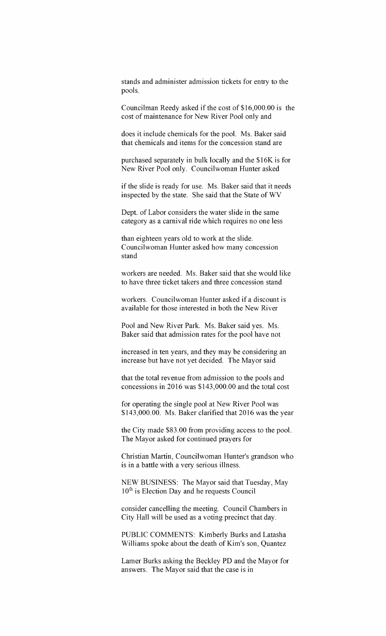stands and administer admission tickets for entry to the pools.

Councilman Reedy asked if the cost of  $$16,000.00$  is the cost of maintenance for New River Pool only and

does it include chemicals for the pool. Ms. Baker said that chemicals and items for the concession stand are

purchased separately in bulk locally and the \$16K is for New River Pool only. Councilwoman Hunter asked

if the slide is ready for use. Ms. Baker said that it needs inspected by the state. She said that the State of WV

Dept. of Labor considers the water slide in the same category as a carnival ride which requires no one less

than eighteen years old to work at the slide. Councilwoman Hunter asked how many concession stand

workers are needed. Ms. Baker said that she would like to have three ticket takers and three concession stand

workers. Councilwoman Hunter asked if a discount is available for those interested in both the New River

Pool and New River Park. Ms. Baker said yes. Ms. Baker said that admission rates for the pool have not

increased in ten years, and they may be considering an increase but have not yet decided. The Mayor said

that the total revenue from admission to the pools and concessions in  $2016$  was \$143,000.00 and the total cost

for operating the single pool at New River Pool was \$143,000.00. Ms. Baker clarified that 2016 was the year

the City made \$83.00 from providing access to the pool. The Mayor asked for continued prayers for

Christian Martin, Councilwoman Hunter's grandson who is in a battle with a very serious illness.

NEW BUSINESS: The Mayor said that Tuesday, May  $10<sup>th</sup>$  is Election Day and he requests Council

consider cancelling the meeting. Council Chambers in City Hall will be used as a voting precinct that day.

PUBLIC COMMENTS: Kimberly Burks and Latasha Williams spoke about the death of Kim's son, Quantez

Lamer Burks asking the Beckley PD and the Mayor for answers. The Mayor said that the case is in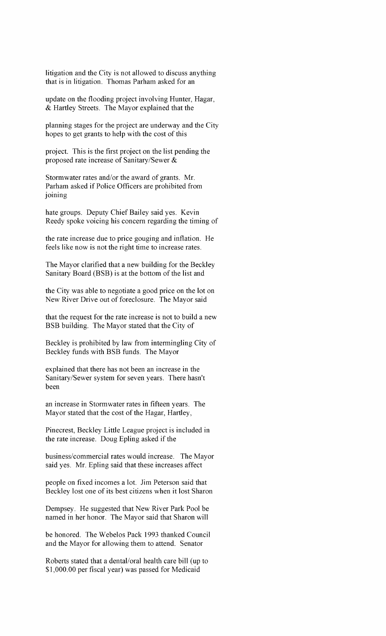litigation and the City is not allowed to discuss anything that is in litigation. Thomas Parham asked for an

update on the flooding project involving Hunter, Hagar, & Hartley Streets. The Mayor explained that the

planning stages for the project are underway and the City hopes to get grants to help with the cost of this

project. This is the first project on the list pending the proposed rate increase of Sanitary/Sewer  $\&$ 

Stormwater rates and/or the award of grants. Mr. Parham asked if Police Officers are prohibited from joining

hate groups. Deputy Chief Bailey said yes. Kevin Reedy spoke voicing his concern regarding the timing of

the rate increase due to price gouging and inflation. He feels like now is not the right time to increase rates.

The Mayor clarified that a new building for the Beckley Sanitary Board (BSB) is at the bottom of the list and

the City was able to negotiate a good price on the lot on New River Drive out of foreclosure. The Mayor said

that the request for the rate increase is not to build a new BSB building. The Mayor stated that the City of

Beckley is prohibited by law from intermingling City of Beckley funds with BSB funds. The Mayor

explained that there has not been an increase in the Sanitary/Sewer system for seven years. There hasn't been

an increase in Stormwater rates in fifteen years. The Mayor stated that the cost of the Hagar, Hartley,

Pinecrest, Beckley Little League project is included in the rate increase. Doug Epling asked if the

business/commercial rates would increase. The Mayor said yes. Mr. Epling said that these increases affect

people on fixed incomes a lot. Jim Peterson said that Beckley lost one of its best citizens when it lost Sharon

Dempsey. He suggested that New River Park Pool be named in her honor. The Mayor said that Sharon will

be honored. The Webelos Pack 1993 thanked Council and the Mayor for allowing them to attend. Senator

Roberts stated that a dental/oral health care bill (up to \$1,000.00 per fiscal year) was passed for Medicaid